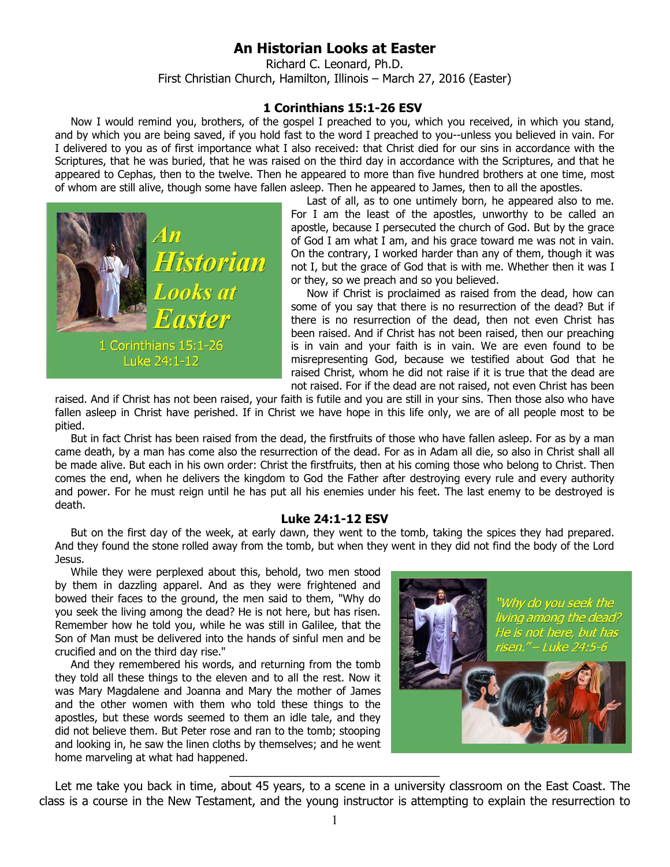# **An Historian Looks at Easter**

Richard C. Leonard, Ph.D. First Christian Church, Hamilton, Illinois – March 27, 2016 (Easter)

### **1 Corinthians 15:1-26 ESV**

Now I would remind you, brothers, of the gospel I preached to you, which you received, in which you stand, and by which you are being saved, if you hold fast to the word I preached to you--unless you believed in vain. For I delivered to you as of first importance what I also received: that Christ died for our sins in accordance with the Scriptures, that he was buried, that he was raised on the third day in accordance with the Scriptures, and that he appeared to Cephas, then to the twelve. Then he appeared to more than five hundred brothers at one time, most of whom are still alive, though some have fallen asleep. Then he appeared to James, then to all the apostles.



Last of all, as to one untimely born, he appeared also to me. For I am the least of the apostles, unworthy to be called an apostle, because I persecuted the church of God. But by the grace of God I am what I am, and his grace toward me was not in vain. On the contrary, I worked harder than any of them, though it was not I, but the grace of God that is with me. Whether then it was I or they, so we preach and so you believed.

Now if Christ is proclaimed as raised from the dead, how can some of you say that there is no resurrection of the dead? But if there is no resurrection of the dead, then not even Christ has been raised. And if Christ has not been raised, then our preaching is in vain and your faith is in vain. We are even found to be misrepresenting God, because we testified about God that he raised Christ, whom he did not raise if it is true that the dead are not raised. For if the dead are not raised, not even Christ has been

raised. And if Christ has not been raised, your faith is futile and you are still in your sins. Then those also who have fallen asleep in Christ have perished. If in Christ we have hope in this life only, we are of all people most to be pitied.

But in fact Christ has been raised from the dead, the firstfruits of those who have fallen asleep. For as by a man came death, by a man has come also the resurrection of the dead. For as in Adam all die, so also in Christ shall all be made alive. But each in his own order: Christ the firstfruits, then at his coming those who belong to Christ. Then comes the end, when he delivers the kingdom to God the Father after destroying every rule and every authority and power. For he must reign until he has put all his enemies under his feet. The last enemy to be destroyed is death.

#### **Luke 24:1-12 ESV**

But on the first day of the week, at early dawn, they went to the tomb, taking the spices they had prepared. And they found the stone rolled away from the tomb, but when they went in they did not find the body of the Lord Jesus.

While they were perplexed about this, behold, two men stood by them in dazzling apparel. And as they were frightened and bowed their faces to the ground, the men said to them, "Why do you seek the living among the dead? He is not here, but has risen. Remember how he told you, while he was still in Galilee, that the Son of Man must be delivered into the hands of sinful men and be crucified and on the third day rise."

And they remembered his words, and returning from the tomb they told all these things to the eleven and to all the rest. Now it was Mary Magdalene and Joanna and Mary the mother of James and the other women with them who told these things to the apostles, but these words seemed to them an idle tale, and they did not believe them. But Peter rose and ran to the tomb; stooping and looking in, he saw the linen cloths by themselves; and he went home marveling at what had happened.



Let me take you back in time, about 45 years, to a scene in a university classroom on the East Coast. The class is a course in the New Testament, and the young instructor is attempting to explain the resurrection to

\_\_\_\_\_\_\_\_\_\_\_\_\_\_\_\_\_\_\_\_\_\_\_\_\_\_\_\_\_\_\_\_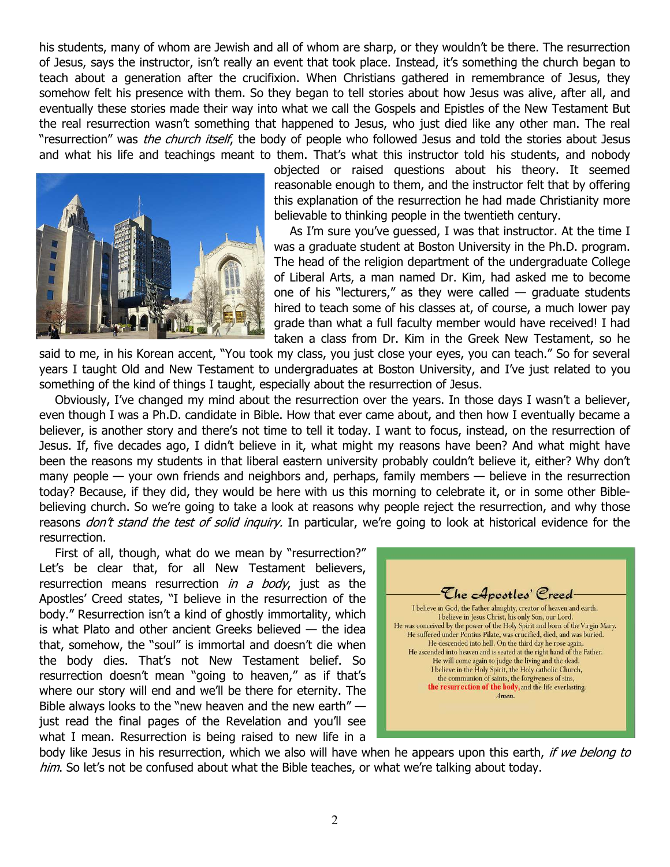his students, many of whom are Jewish and all of whom are sharp, or they wouldn't be there. The resurrection of Jesus, says the instructor, isn't really an event that took place. Instead, it's something the church began to teach about a generation after the crucifixion. When Christians gathered in remembrance of Jesus, they somehow felt his presence with them. So they began to tell stories about how Jesus was alive, after all, and eventually these stories made their way into what we call the Gospels and Epistles of the New Testament But the real resurrection wasn't something that happened to Jesus, who just died like any other man. The real "resurrection" was *the church itself*, the body of people who followed Jesus and told the stories about Jesus and what his life and teachings meant to them. That's what this instructor told his students, and nobody



objected or raised questions about his theory. It seemed reasonable enough to them, and the instructor felt that by offering this explanation of the resurrection he had made Christianity more believable to thinking people in the twentieth century.

As I'm sure you've guessed, I was that instructor. At the time I was a graduate student at Boston University in the Ph.D. program. The head of the religion department of the undergraduate College of Liberal Arts, a man named Dr. Kim, had asked me to become one of his "lecturers," as they were called  $-$  graduate students hired to teach some of his classes at, of course, a much lower pay grade than what a full faculty member would have received! I had taken a class from Dr. Kim in the Greek New Testament, so he

said to me, in his Korean accent, "You took my class, you just close your eyes, you can teach." So for several years I taught Old and New Testament to undergraduates at Boston University, and I've just related to you something of the kind of things I taught, especially about the resurrection of Jesus.

Obviously, I've changed my mind about the resurrection over the years. In those days I wasn't a believer, even though I was a Ph.D. candidate in Bible. How that ever came about, and then how I eventually became a believer, is another story and there's not time to tell it today. I want to focus, instead, on the resurrection of Jesus. If, five decades ago, I didn't believe in it, what might my reasons have been? And what might have been the reasons my students in that liberal eastern university probably couldn't believe it, either? Why don't many people — your own friends and neighbors and, perhaps, family members — believe in the resurrection today? Because, if they did, they would be here with us this morning to celebrate it, or in some other Biblebelieving church. So we're going to take a look at reasons why people reject the resurrection, and why those reasons *don't stand the test of solid inquiry*. In particular, we're going to look at historical evidence for the resurrection.

First of all, though, what do we mean by "resurrection?" Let's be clear that, for all New Testament believers, resurrection means resurrection in a body, just as the Apostles' Creed states, "I believe in the resurrection of the body." Resurrection isn't a kind of ghostly immortality, which is what Plato and other ancient Greeks believed — the idea that, somehow, the "soul" is immortal and doesn't die when the body dies. That's not New Testament belief. So resurrection doesn't mean "going to heaven," as if that's where our story will end and we'll be there for eternity. The Bible always looks to the "new heaven and the new earth" just read the final pages of the Revelation and you'll see what I mean. Resurrection is being raised to new life in a



body like Jesus in his resurrection, which we also will have when he appears upon this earth, if we belong to him. So let's not be confused about what the Bible teaches, or what we're talking about today.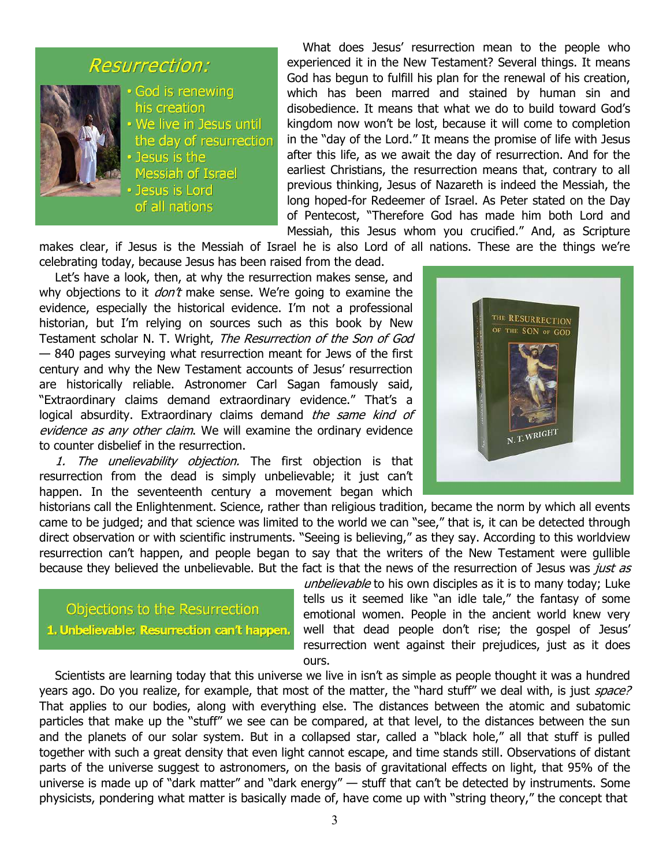# **Resurrection:**



- God is renewing his creation
- We live in Jesus until the day of resurrection
- Jesus is the
- **Messiah of Israel**
- 
- **Jesus is Lord** of all nations

What does Jesus' resurrection mean to the people who experienced it in the New Testament? Several things. It means God has begun to fulfill his plan for the renewal of his creation, which has been marred and stained by human sin and disobedience. It means that what we do to build toward God's kingdom now won't be lost, because it will come to completion in the "day of the Lord." It means the promise of life with Jesus after this life, as we await the day of resurrection. And for the earliest Christians, the resurrection means that, contrary to all previous thinking, Jesus of Nazareth is indeed the Messiah, the long hoped-for Redeemer of Israel. As Peter stated on the Day of Pentecost, "Therefore God has made him both Lord and Messiah, this Jesus whom you crucified." And, as Scripture

makes clear, if Jesus is the Messiah of Israel he is also Lord of all nations. These are the things we're celebrating today, because Jesus has been raised from the dead.

Let's have a look, then, at why the resurrection makes sense, and why objections to it  $don't$  make sense. We're going to examine the evidence, especially the historical evidence. I'm not a professional historian, but I'm relying on sources such as this book by New Testament scholar N. T. Wright, The Resurrection of the Son of God — 840 pages surveying what resurrection meant for Jews of the first century and why the New Testament accounts of Jesus' resurrection are historically reliable. Astronomer Carl Sagan famously said, "Extraordinary claims demand extraordinary evidence." That's a logical absurdity. Extraordinary claims demand the same kind of evidence as any other claim. We will examine the ordinary evidence to counter disbelief in the resurrection.

1. The unelievability objection. The first objection is that resurrection from the dead is simply unbelievable; it just can't happen. In the seventeenth century a movement began which

historians call the Enlightenment. Science, rather than religious tradition, became the norm by which all events came to be judged; and that science was limited to the world we can "see," that is, it can be detected through direct observation or with scientific instruments. "Seeing is believing," as they say. According to this worldview resurrection can't happen, and people began to say that the writers of the New Testament were gullible because they believed the unbelievable. But the fact is that the news of the resurrection of Jesus was just as

**Objections to the Resurrection** 1. Unbelievable: Resurrection can't happen.

unbelievable to his own disciples as it is to many today; Luke tells us it seemed like "an idle tale," the fantasy of some emotional women. People in the ancient world knew very well that dead people don't rise; the gospel of Jesus' resurrection went against their prejudices, just as it does ours.

Scientists are learning today that this universe we live in isn't as simple as people thought it was a hundred years ago. Do you realize, for example, that most of the matter, the "hard stuff" we deal with, is just space? That applies to our bodies, along with everything else. The distances between the atomic and subatomic particles that make up the "stuff" we see can be compared, at that level, to the distances between the sun and the planets of our solar system. But in a collapsed star, called a "black hole," all that stuff is pulled together with such a great density that even light cannot escape, and time stands still. Observations of distant parts of the universe suggest to astronomers, on the basis of gravitational effects on light, that 95% of the universe is made up of "dark matter" and "dark energy" — stuff that can't be detected by instruments. Some physicists, pondering what matter is basically made of, have come up with "string theory," the concept that

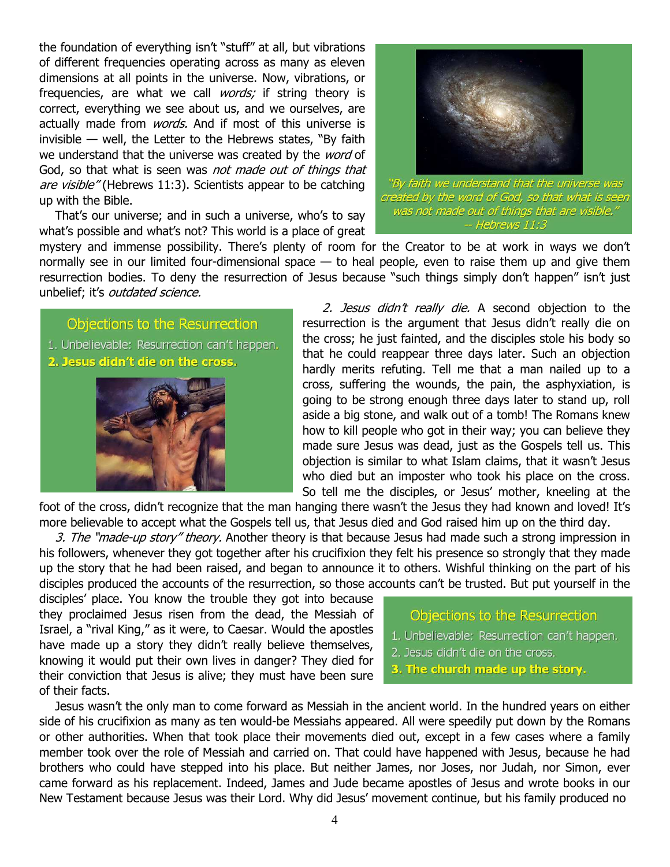the foundation of everything isn't "stuff" at all, but vibrations of different frequencies operating across as many as eleven dimensions at all points in the universe. Now, vibrations, or frequencies, are what we call *words;* if string theory is correct, everything we see about us, and we ourselves, are actually made from *words*. And if most of this universe is invisible — well, the Letter to the Hebrews states, "By faith we understand that the universe was created by the word of God, so that what is seen was not made out of things that are visible" (Hebrews 11:3). Scientists appear to be catching up with the Bible.

That's our universe; and in such a universe, who's to say what's possible and what's not? This world is a place of great



"By faith we understand that the universe was created by the word of God, so that what is seen was not made out of things that are visible." Hebrews 11:3

mystery and immense possibility. There's plenty of room for the Creator to be at work in ways we don't normally see in our limited four-dimensional space — to heal people, even to raise them up and give them resurrection bodies. To deny the resurrection of Jesus because "such things simply don't happen" isn't just unbelief; it's outdated science.

Objections to the Resurrection 1. Unbelievable: Resurrection can't happen. 2. Jesus didn't die on the cross.



2. Jesus didn't really die. A second objection to the resurrection is the argument that Jesus didn't really die on the cross; he just fainted, and the disciples stole his body so that he could reappear three days later. Such an objection hardly merits refuting. Tell me that a man nailed up to a cross, suffering the wounds, the pain, the asphyxiation, is going to be strong enough three days later to stand up, roll aside a big stone, and walk out of a tomb! The Romans knew how to kill people who got in their way; you can believe they made sure Jesus was dead, just as the Gospels tell us. This objection is similar to what Islam claims, that it wasn't Jesus who died but an imposter who took his place on the cross. So tell me the disciples, or Jesus' mother, kneeling at the

foot of the cross, didn't recognize that the man hanging there wasn't the Jesus they had known and loved! It's more believable to accept what the Gospels tell us, that Jesus died and God raised him up on the third day.

3. The "made-up story" theory. Another theory is that because Jesus had made such a strong impression in his followers, whenever they got together after his crucifixion they felt his presence so strongly that they made up the story that he had been raised, and began to announce it to others. Wishful thinking on the part of his disciples produced the accounts of the resurrection, so those accounts can't be trusted. But put yourself in the

disciples' place. You know the trouble they got into because they proclaimed Jesus risen from the dead, the Messiah of Israel, a "rival King," as it were, to Caesar. Would the apostles have made up a story they didn't really believe themselves, knowing it would put their own lives in danger? They died for their conviction that Jesus is alive; they must have been sure of their facts.

**Objections to the Resurrection** 

- 1. Unbelievable: Resurrection can't happen.
- 2. Jesus didn't die on the cross.
- 3. The church made up the story.

Jesus wasn't the only man to come forward as Messiah in the ancient world. In the hundred years on either side of his crucifixion as many as ten would-be Messiahs appeared. All were speedily put down by the Romans or other authorities. When that took place their movements died out, except in a few cases where a family member took over the role of Messiah and carried on. That could have happened with Jesus, because he had brothers who could have stepped into his place. But neither James, nor Joses, nor Judah, nor Simon, ever came forward as his replacement. Indeed, James and Jude became apostles of Jesus and wrote books in our New Testament because Jesus was their Lord. Why did Jesus' movement continue, but his family produced no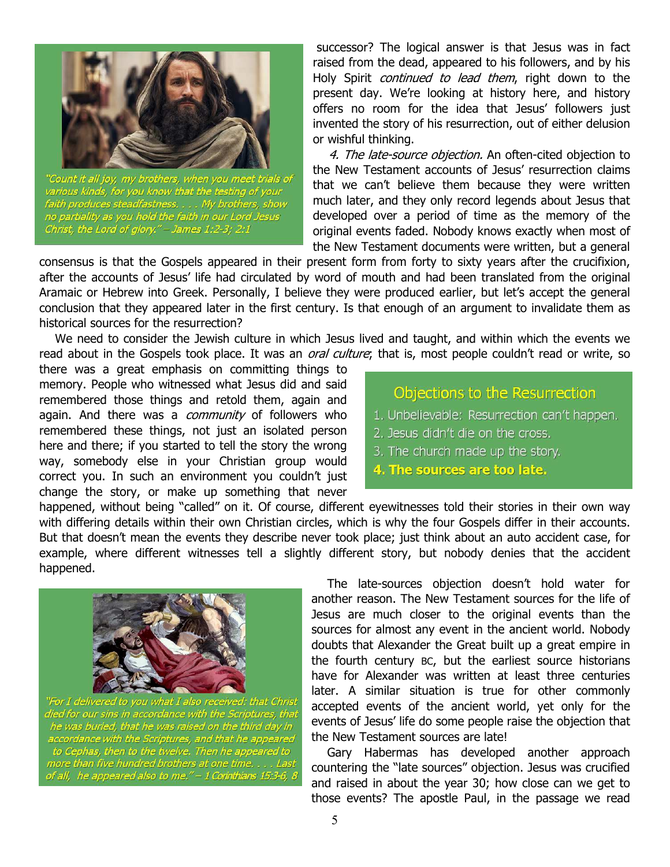

"Count it all joy, my brothers, when you meet trials of various kinds, for you know that the testing of your faith produces steadfastness. . . . My brothers, show no partiality as you hold the faith in our Lord Jesus<br>Christ, the Lord of glory." – James 1:2-3; 2:1

 successor? The logical answer is that Jesus was in fact raised from the dead, appeared to his followers, and by his Holy Spirit *continued to lead them*, right down to the present day. We're looking at history here, and history offers no room for the idea that Jesus' followers just invented the story of his resurrection, out of either delusion or wishful thinking.

4. The late-source objection. An often-cited objection to the New Testament accounts of Jesus' resurrection claims that we can't believe them because they were written much later, and they only record legends about Jesus that developed over a period of time as the memory of the original events faded. Nobody knows exactly when most of the New Testament documents were written, but a general

consensus is that the Gospels appeared in their present form from forty to sixty years after the crucifixion, after the accounts of Jesus' life had circulated by word of mouth and had been translated from the original Aramaic or Hebrew into Greek. Personally, I believe they were produced earlier, but let's accept the general conclusion that they appeared later in the first century. Is that enough of an argument to invalidate them as historical sources for the resurrection?

We need to consider the Jewish culture in which Jesus lived and taught, and within which the events we read about in the Gospels took place. It was an *oral culture*; that is, most people couldn't read or write, so

there was a great emphasis on committing things to memory. People who witnessed what Jesus did and said remembered those things and retold them, again and again. And there was a *community* of followers who remembered these things, not just an isolated person here and there; if you started to tell the story the wrong way, somebody else in your Christian group would correct you. In such an environment you couldn't just change the story, or make up something that never

### **Objections to the Resurrection**

- 1. Unbelievable: Resurrection can't happen.
- 2. Jesus didn't die on the cross.
- 3. The church made up the story.
- 4. The sources are too late.

happened, without being "called" on it. Of course, different eyewitnesses told their stories in their own way with differing details within their own Christian circles, which is why the four Gospels differ in their accounts. But that doesn't mean the events they describe never took place; just think about an auto accident case, for example, where different witnesses tell a slightly different story, but nobody denies that the accident happened.



died for our sins in accordance with the Scriptures, that<br>died for our sins in accordance with the Scriptures, that<br>accordance with the Scriptures, and that he appeared<br>to Cephas, then to the twelve. Then he appeared to<br>m of all, he appeared also to me." - 1 Corinthians 15:3-6, 8

The late-sources objection doesn't hold water for another reason. The New Testament sources for the life of Jesus are much closer to the original events than the sources for almost any event in the ancient world. Nobody doubts that Alexander the Great built up a great empire in the fourth century BC, but the earliest source historians have for Alexander was written at least three centuries later. A similar situation is true for other commonly accepted events of the ancient world, yet only for the events of Jesus' life do some people raise the objection that the New Testament sources are late!

Gary Habermas has developed another approach countering the "late sources" objection. Jesus was crucified and raised in about the year 30; how close can we get to those events? The apostle Paul, in the passage we read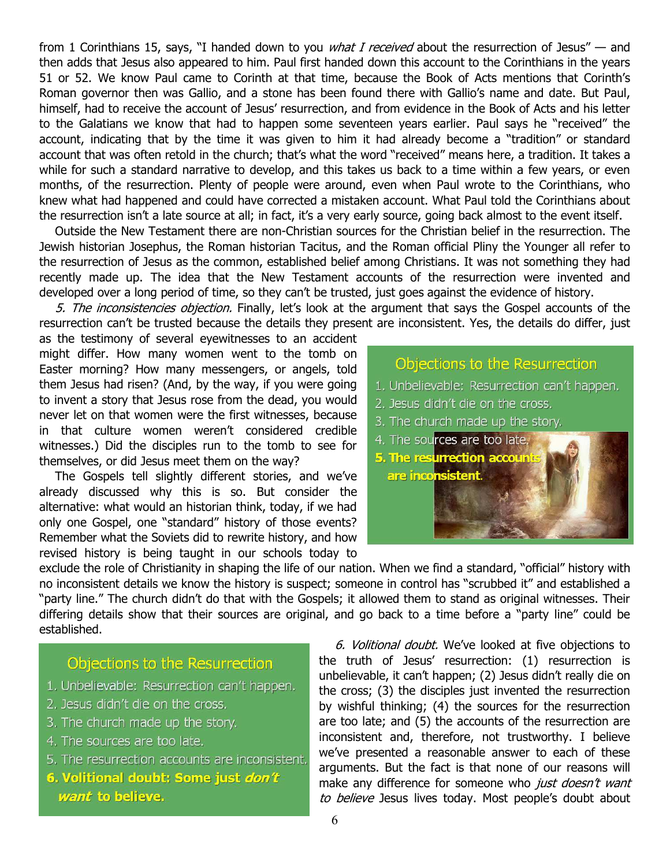from 1 Corinthians 15, says, "I handed down to you *what I received* about the resurrection of Jesus" — and then adds that Jesus also appeared to him. Paul first handed down this account to the Corinthians in the years 51 or 52. We know Paul came to Corinth at that time, because the Book of Acts mentions that Corinth's Roman governor then was Gallio, and a stone has been found there with Gallio's name and date. But Paul, himself, had to receive the account of Jesus' resurrection, and from evidence in the Book of Acts and his letter to the Galatians we know that had to happen some seventeen years earlier. Paul says he "received" the account, indicating that by the time it was given to him it had already become a "tradition" or standard account that was often retold in the church; that's what the word "received" means here, a tradition. It takes a while for such a standard narrative to develop, and this takes us back to a time within a few years, or even months, of the resurrection. Plenty of people were around, even when Paul wrote to the Corinthians, who knew what had happened and could have corrected a mistaken account. What Paul told the Corinthians about the resurrection isn't a late source at all; in fact, it's a very early source, going back almost to the event itself.

Outside the New Testament there are non-Christian sources for the Christian belief in the resurrection. The Jewish historian Josephus, the Roman historian Tacitus, and the Roman official Pliny the Younger all refer to the resurrection of Jesus as the common, established belief among Christians. It was not something they had recently made up. The idea that the New Testament accounts of the resurrection were invented and developed over a long period of time, so they can't be trusted, just goes against the evidence of history.

5. The inconsistencies objection. Finally, let's look at the argument that says the Gospel accounts of the resurrection can't be trusted because the details they present are inconsistent. Yes, the details do differ, just

as the testimony of several eyewitnesses to an accident might differ. How many women went to the tomb on Easter morning? How many messengers, or angels, told them Jesus had risen? (And, by the way, if you were going to invent a story that Jesus rose from the dead, you would never let on that women were the first witnesses, because in that culture women weren't considered credible witnesses.) Did the disciples run to the tomb to see for themselves, or did Jesus meet them on the way?

The Gospels tell slightly different stories, and we've already discussed why this is so. But consider the alternative: what would an historian think, today, if we had only one Gospel, one "standard" history of those events? Remember what the Soviets did to rewrite history, and how revised history is being taught in our schools today to

# Objections to the Resurrection

- 1. Unbelievable: Resurrection can't happen.
- 2. Jesus didn't die on the cross.
- 3. The church made up the story.
- 4. The sources are too late.
- 5. The resurrection account are inconsistent.

exclude the role of Christianity in shaping the life of our nation. When we find a standard, "official" history with no inconsistent details we know the history is suspect; someone in control has "scrubbed it" and established a "party line." The church didn't do that with the Gospels; it allowed them to stand as original witnesses. Their differing details show that their sources are original, and go back to a time before a "party line" could be established.

# **Objections to the Resurrection**

- 1. Unbelievable: Resurrection can't happen.
- 2. Jesus didn't die on the cross.
- 3. The church made up the story.
- 4. The sources are too late.
- 5. The resurrection accounts are inconsistent.
- 6. Volitional doubt: Some just don't want to believe.

6. Volitional doubt. We've looked at five objections to the truth of Jesus' resurrection: (1) resurrection is unbelievable, it can't happen; (2) Jesus didn't really die on the cross; (3) the disciples just invented the resurrection by wishful thinking; (4) the sources for the resurrection are too late; and (5) the accounts of the resurrection are inconsistent and, therefore, not trustworthy. I believe we've presented a reasonable answer to each of these arguments. But the fact is that none of our reasons will make any difference for someone who just doesn't want to believe Jesus lives today. Most people's doubt about